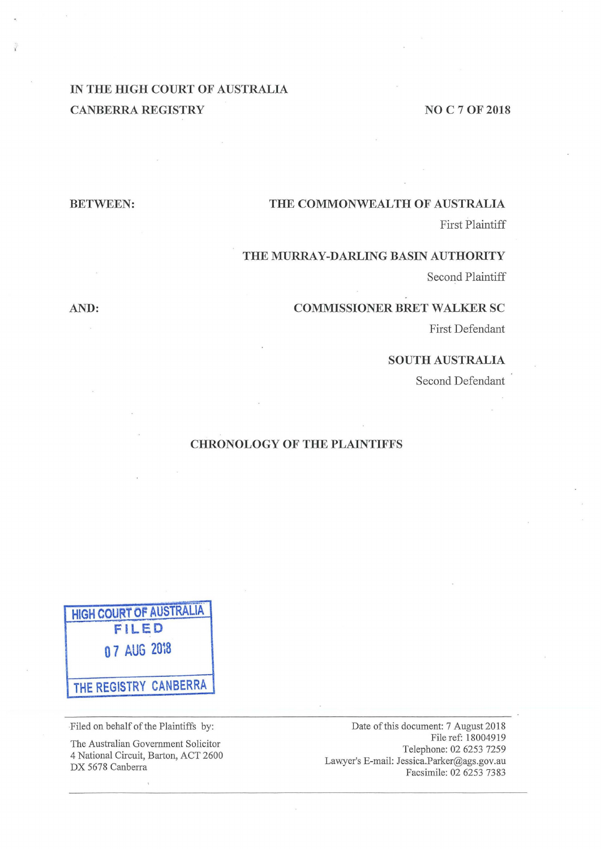# **IN THE HIGH COURT OF AUSTRALIA CANBERRA REGISTRY** NO C 7 OF 2018

## **BETWEEN: THE COMMONWEALTH OF AUSTRALIA**

First Plaintiff

### **THE MURRAY-DARLING BASIN AUTHORITY**

Second Plaintiff

#### **AND: COMMISSIONER BRET WALKER SC**

First Defendant

#### **SOUTH AUSTRALIA**

Second Defendant

# **CHRONOLOGY OF THE PLAINTIFFS**

**HIGH COURT OF AUSTRALIA. FILED 0 7 AUG 2m8 THE REGISTRY CANBERRA** 

Filed on behalf of the Plaintiffs by:

The Australian Government Solicitor 4 National Circuit, Barton, ACT 2600 DX 5678 Canberra

Date of this document: 7 August 2018 File ref: 18004919 Telephone: 02 6253 7259 Lawyer's E-mail: Jessica.Parker@ags.gov.au Facsimile: 02 6253 7383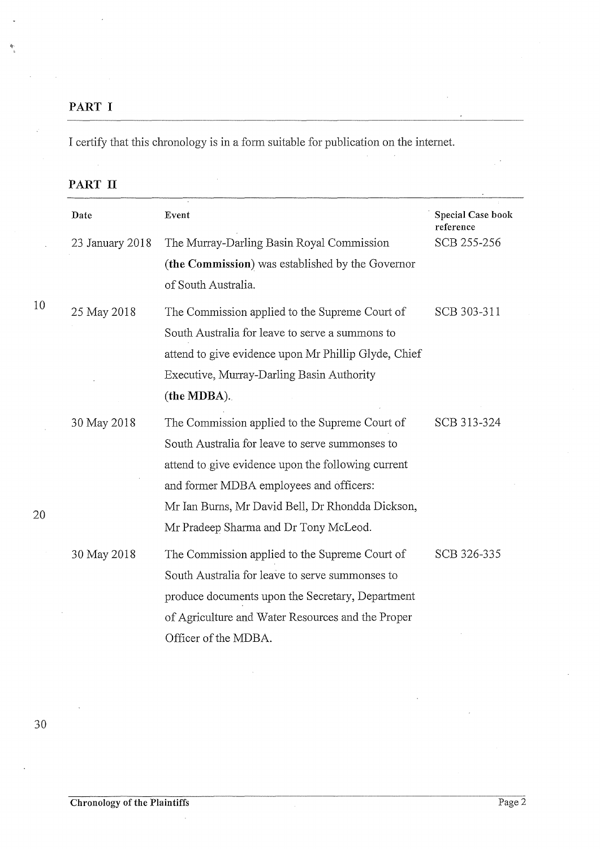# **PART I**

I certify that this chronology is in a form suitable for publication on the internet.

| Date            | Event                                                | Special Case book<br>reference |
|-----------------|------------------------------------------------------|--------------------------------|
| 23 January 2018 | The Murray-Darling Basin Royal Commission            | SCB 255-256                    |
|                 | (the Commission) was established by the Governor     |                                |
|                 | of South Australia.                                  |                                |
| 25 May 2018     | The Commission applied to the Supreme Court of       | SCB 303-311                    |
|                 | South Australia for leave to serve a summons to      |                                |
|                 | attend to give evidence upon Mr Phillip Glyde, Chief |                                |
|                 | Executive, Murray-Darling Basin Authority            |                                |
|                 | (the MDBA).                                          |                                |
| 30 May 2018     | The Commission applied to the Supreme Court of       | SCB 313-324                    |
|                 | South Australia for leave to serve summonses to      |                                |
|                 | attend to give evidence upon the following current   |                                |
|                 | and former MDBA employees and officers:              |                                |
|                 | Mr Ian Burns, Mr David Bell, Dr Rhondda Dickson,     |                                |
|                 | Mr Pradeep Sharma and Dr Tony McLeod.                |                                |
| 30 May 2018     | The Commission applied to the Supreme Court of       | SCB 326-335                    |
|                 | South Australia for leave to serve summonses to      |                                |
|                 | produce documents upon the Secretary, Department     |                                |
|                 | of Agriculture and Water Resources and the Proper    |                                |
|                 | Officer of the MDBA.                                 |                                |

 $\mathcal{L}$ 

10

20

30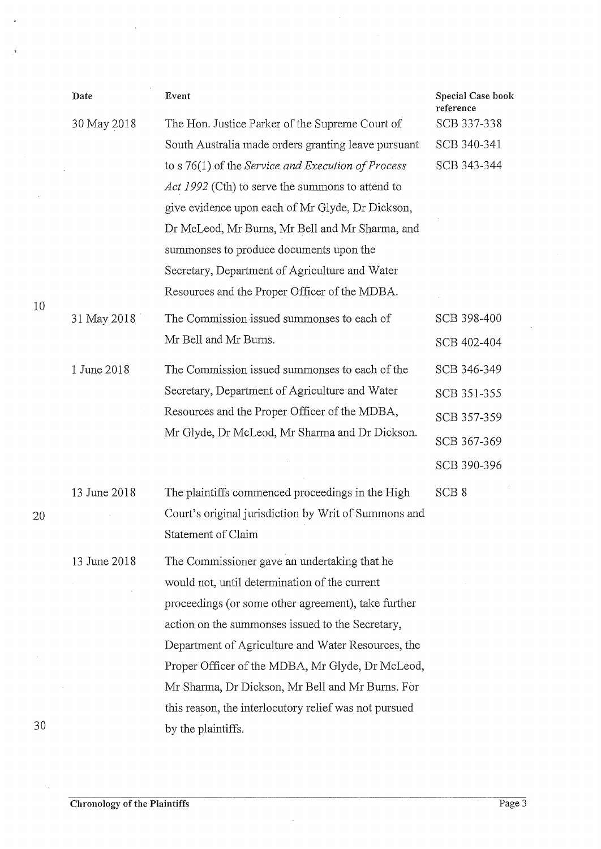|    | Date         | Event                                                                                                                                                                                               | Special Case book<br>reference |
|----|--------------|-----------------------------------------------------------------------------------------------------------------------------------------------------------------------------------------------------|--------------------------------|
|    | 30 May 2018  | The Hon. Justice Parker of the Supreme Court of                                                                                                                                                     | SCB 337-338                    |
|    |              | South Australia made orders granting leave pursuant                                                                                                                                                 | SCB 340-341                    |
|    |              | to s $76(1)$ of the Service and Execution of Process                                                                                                                                                | SCB 343-344                    |
|    |              | Act 1992 (Cth) to serve the summons to attend to                                                                                                                                                    |                                |
|    |              | give evidence upon each of Mr Glyde, Dr Dickson,                                                                                                                                                    |                                |
|    |              | Dr McLeod, Mr Burns, Mr Bell and Mr Sharma, and                                                                                                                                                     |                                |
|    |              | summonses to produce documents upon the                                                                                                                                                             |                                |
|    |              | Secretary, Department of Agriculture and Water                                                                                                                                                      |                                |
| 10 |              | Resources and the Proper Officer of the MDBA.                                                                                                                                                       |                                |
|    | 31 May 2018  | The Commission issued summonses to each of                                                                                                                                                          | SCB 398-400                    |
|    |              | Mr Bell and Mr Burns.                                                                                                                                                                               | SCB 402-404                    |
|    | 1 June 2018  | The Commission issued summonses to each of the<br>Secretary, Department of Agriculture and Water<br>Resources and the Proper Officer of the MDBA,<br>Mr Glyde, Dr McLeod, Mr Sharma and Dr Dickson. | SCB 346-349                    |
|    |              |                                                                                                                                                                                                     | SCB 351-355                    |
|    |              |                                                                                                                                                                                                     | SCB 357-359                    |
|    |              |                                                                                                                                                                                                     | SCB 367-369                    |
|    |              |                                                                                                                                                                                                     | SCB 390-396                    |
|    | 13 June 2018 | The plaintiffs commenced proceedings in the High                                                                                                                                                    | SCB <sub>8</sub>               |
| 20 |              | Court's original jurisdiction by Writ of Summons and                                                                                                                                                |                                |
|    |              | Statement of Claim                                                                                                                                                                                  |                                |
|    | 13 June 2018 | The Commissioner gave an undertaking that he                                                                                                                                                        |                                |
|    |              | would not, until determination of the current                                                                                                                                                       |                                |
|    |              | proceedings (or some other agreement), take further                                                                                                                                                 |                                |
|    |              | action on the summonses issued to the Secretary,                                                                                                                                                    |                                |
|    |              | Department of Agriculture and Water Resources, the                                                                                                                                                  |                                |
|    |              | Proper Officer of the MDBA, Mr Glyde, Dr McLeod,                                                                                                                                                    |                                |
|    |              | Mr Sharma, Dr Dickson, Mr Bell and Mr Burns. For                                                                                                                                                    |                                |
|    |              | this reason, the interlocutory relief was not pursued                                                                                                                                               |                                |
| 30 |              | by the plaintiffs.                                                                                                                                                                                  |                                |

 $\bar{\beta}$ 

 $\mathcal{A}^{\mathcal{A}}$ 

 $\sim$ 

 $\bar{\nu}$ 

 $\vec{\mathbf{r}}$ 

 $\bar{y}$ 

 $\gamma_{\rm{in}}$ 

 $\bar{z}$